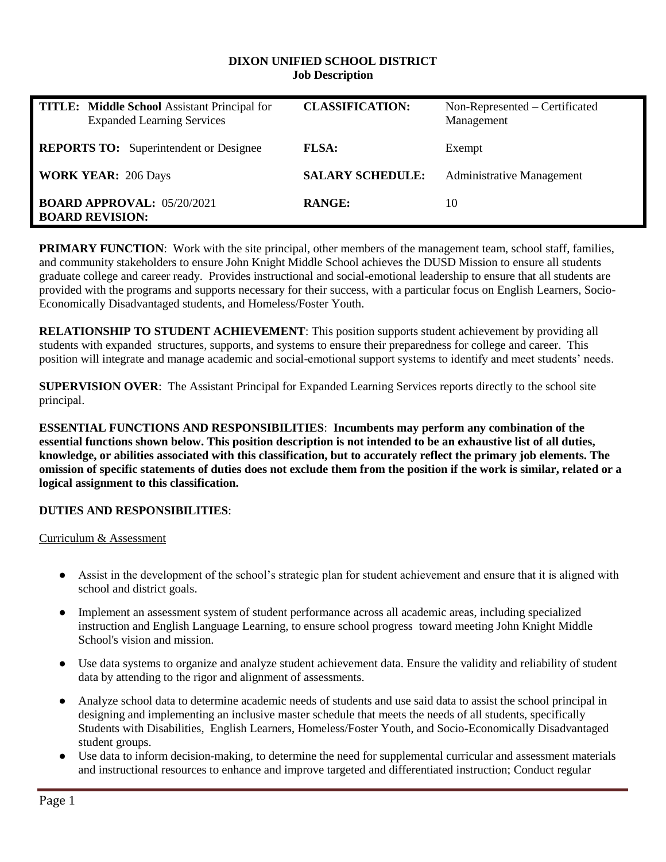#### **DIXON UNIFIED SCHOOL DISTRICT Job Description**

| <b>TITLE:</b> Middle School Assistant Principal for<br><b>Expanded Learning Services</b> | <b>CLASSIFICATION:</b>  | Non-Represented – Certificated<br>Management |
|------------------------------------------------------------------------------------------|-------------------------|----------------------------------------------|
| <b>REPORTS TO:</b> Superintendent or Designee                                            | <b>FLSA:</b>            | Exempt                                       |
| <b>WORK YEAR: 206 Days</b>                                                               | <b>SALARY SCHEDULE:</b> | <b>Administrative Management</b>             |
| <b>BOARD APPROVAL: 05/20/2021</b><br><b>BOARD REVISION:</b>                              | <b>RANGE:</b>           | 10                                           |

**PRIMARY FUNCTION:** Work with the site principal, other members of the management team, school staff, families, and community stakeholders to ensure John Knight Middle School achieves the DUSD Mission to ensure all students graduate college and career ready. Provides instructional and social-emotional leadership to ensure that all students are provided with the programs and supports necessary for their success, with a particular focus on English Learners, Socio-Economically Disadvantaged students, and Homeless/Foster Youth.

**RELATIONSHIP TO STUDENT ACHIEVEMENT**: This position supports student achievement by providing all students with expanded structures, supports, and systems to ensure their preparedness for college and career. This position will integrate and manage academic and social-emotional support systems to identify and meet students' needs.

**SUPERVISION OVER**: The Assistant Principal for Expanded Learning Services reports directly to the school site principal.

**ESSENTIAL FUNCTIONS AND RESPONSIBILITIES**: **Incumbents may perform any combination of the essential functions shown below. This position description is not intended to be an exhaustive list of all duties, knowledge, or abilities associated with this classification, but to accurately reflect the primary job elements. The omission of specific statements of duties does not exclude them from the position if the work is similar, related or a logical assignment to this classification.**

### **DUTIES AND RESPONSIBILITIES**:

Curriculum & Assessment

- Assist in the development of the school's strategic plan for student achievement and ensure that it is aligned with school and district goals.
- Implement an assessment system of student performance across all academic areas, including specialized instruction and English Language Learning, to ensure school progress toward meeting John Knight Middle School's vision and mission.
- Use data systems to organize and analyze student achievement data. Ensure the validity and reliability of student data by attending to the rigor and alignment of assessments.
- Analyze school data to determine academic needs of students and use said data to assist the school principal in designing and implementing an inclusive master schedule that meets the needs of all students, specifically Students with Disabilities, English Learners, Homeless/Foster Youth, and Socio-Economically Disadvantaged student groups.
- Use data to inform decision-making, to determine the need for supplemental curricular and assessment materials and instructional resources to enhance and improve targeted and differentiated instruction; Conduct regular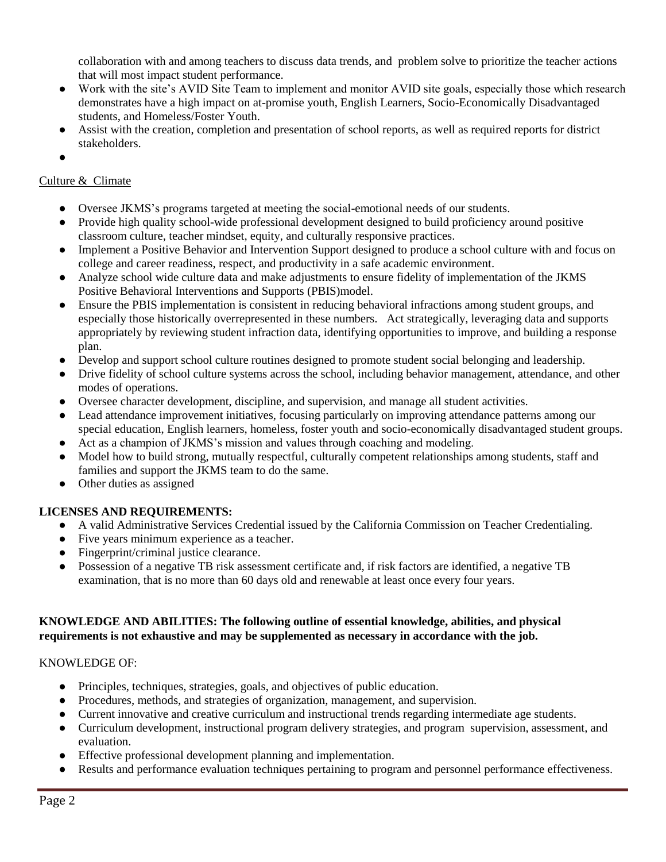collaboration with and among teachers to discuss data trends, and problem solve to prioritize the teacher actions that will most impact student performance.

- Work with the site's AVID Site Team to implement and monitor AVID site goals, especially those which research demonstrates have a high impact on at-promise youth, English Learners, Socio-Economically Disadvantaged students, and Homeless/Foster Youth.
- Assist with the creation, completion and presentation of school reports, as well as required reports for district stakeholders.
- ●

# Culture & Climate

- Oversee JKMS's programs targeted at meeting the social-emotional needs of our students.
- Provide high quality school-wide professional development designed to build proficiency around positive classroom culture, teacher mindset, equity, and culturally responsive practices.
- Implement a Positive Behavior and Intervention Support designed to produce a school culture with and focus on college and career readiness, respect, and productivity in a safe academic environment.
- Analyze school wide culture data and make adjustments to ensure fidelity of implementation of the JKMS Positive Behavioral Interventions and Supports (PBIS)model.
- Ensure the PBIS implementation is consistent in reducing behavioral infractions among student groups, and especially those historically overrepresented in these numbers. Act strategically, leveraging data and supports appropriately by reviewing student infraction data, identifying opportunities to improve, and building a response plan.
- Develop and support school culture routines designed to promote student social belonging and leadership.
- Drive fidelity of school culture systems across the school, including behavior management, attendance, and other modes of operations.
- Oversee character development, discipline, and supervision, and manage all student activities.
- Lead attendance improvement initiatives, focusing particularly on improving attendance patterns among our special education, English learners, homeless, foster youth and socio-economically disadvantaged student groups.
- Act as a champion of JKMS's mission and values through coaching and modeling.
- Model how to build strong, mutually respectful, culturally competent relationships among students, staff and families and support the JKMS team to do the same.
- Other duties as assigned

## **LICENSES AND REQUIREMENTS:**

- A valid Administrative Services Credential issued by the California Commission on Teacher Credentialing.
- Five years minimum experience as a teacher.
- Fingerprint/criminal justice clearance.
- Possession of a negative TB risk assessment certificate and, if risk factors are identified, a negative TB examination, that is no more than 60 days old and renewable at least once every four years.

### **KNOWLEDGE AND ABILITIES: The following outline of essential knowledge, abilities, and physical requirements is not exhaustive and may be supplemented as necessary in accordance with the job.**

## KNOWLEDGE OF:

- Principles, techniques, strategies, goals, and objectives of public education.
- Procedures, methods, and strategies of organization, management, and supervision.
- Current innovative and creative curriculum and instructional trends regarding intermediate age students.
- Curriculum development, instructional program delivery strategies, and program supervision, assessment, and evaluation.
- Effective professional development planning and implementation.
- Results and performance evaluation techniques pertaining to program and personnel performance effectiveness.